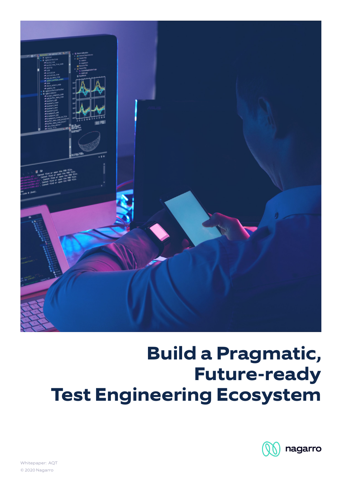

# **Build a Pragmatic, Future-ready Test Engineering Ecosystem**



Whitepaper: AQT © 2020 Nagarro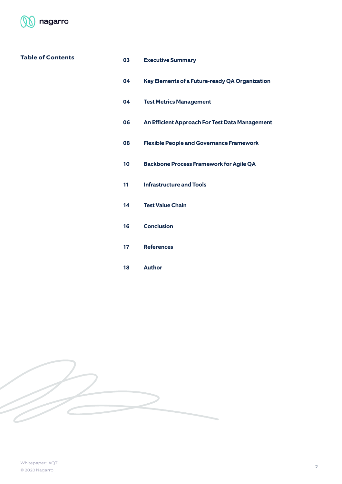

# **Table of Contents**

| 03 | <b>Executive Summary</b> |
|----|--------------------------|
|----|--------------------------|

- **Key Elements of a Future-ready QA Organization**
- **Test Metrics Management**
- **An Efficient Approach For Test Data Management**
- **Flexible People and Governance Framework**
- **Backbone Process Framework for Agile QA**
- **Infrastructure and Tools**
- **Test Value Chain**
- **Conclusion**
- **References**
- **Author**

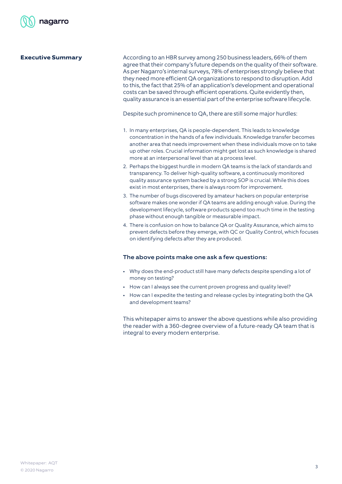**Executive Summary**

According to an HBR survey among 250 business leaders, 66% of them agree that their company's future depends on the quality of their software. As per Nagarro's internal surveys, 78% of enterprises strongly believe that they need more efficient QA organizations to respond to disruption. Add to this, the fact that 25% of an application's development and operational costs can be saved through efficient operations. Quite evidently then, quality assurance is an essential part of the enterprise software lifecycle.

Despite such prominence to QA, there are still some major hurdles:

- 1. In many enterprises, QA is people-dependent. This leads to knowledge concentration in the hands of a few individuals. Knowledge transfer becomes another area that needs improvement when these individuals move on to take up other roles. Crucial information might get lost as such knowledge is shared more at an interpersonal level than at a process level.
- 2. Perhaps the biggest hurdle in modern QA teams is the lack of standards and transparency. To deliver high-quality software, a continuously monitored quality assurance system backed by a strong SOP is crucial. While this does exist in most enterprises, there is always room for improvement.
- 3. The number of bugs discovered by amateur hackers on popular enterprise software makes one wonder if QA teams are adding enough value. During the development lifecycle, software products spend too much time in the testing phase without enough tangible or measurable impact.
- 4. There is confusion on how to balance QA or Quality Assurance, which aims to prevent defects before they emerge, with QC or Quality Control, which focuses on identifying defects after they are produced.

#### The above points make one ask a few questions:

- Why does the end-product still have many defects despite spending a lot of money on testing?
- How can I always see the current proven progress and quality level?
- How can I expedite the testing and release cycles by integrating both the QA and development teams?

This whitepaper aims to answer the above questions while also providing the reader with a 360-degree overview of a future-ready QA team that is integral to every modern enterprise.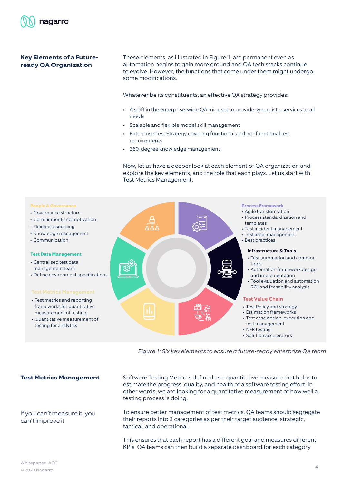

# **Key Elements of a Futureready QA Organization**

These elements, as illustrated in Figure 1, are permanent even as automation begins to gain more ground and QA tech stacks continue to evolve. However, the functions that come under them might undergo some modifications.

Whatever be its constituents, an effective QA strategy provides:

- A shift in the enterprise-wide QA mindset to provide synergistic services to all needs
- Scalable and flexible model skill management
- Enterprise Test Strategy covering functional and nonfunctional test requirements
- 360-degree knowledge management

Now, let us have a deeper look at each element of QA organization and explore the key elements, and the role that each plays. Let us start with Test Metrics Management.



Figure 1: Six key elements to ensure a future-ready enterprise QA team

**Test Metrics Management**

If you can't measure it, you can't improve it

Software Testing Metric is defined as a quantitative measure that helps to estimate the progress, quality, and health of a software testing effort. In other words, we are looking for a quantitative measurement of how well a testing process is doing.

To ensure better management of test metrics, QA teams should segregate their reports into 3 categories as per their target audience: strategic, tactical, and operational.

This ensures that each report has a different goal and measures different KPIs. QA teams can then build a separate dashboard for each category.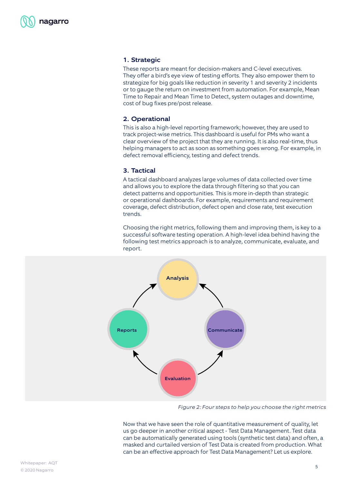# 1. Strategic

These reports are meant for decision-makers and C-level executives. They offer a bird's eye view of testing efforts. They also empower them to strategize for big goals like reduction in severity 1 and severity 2 incidents or to gauge the return on investment from automation. For example, Mean Time to Repair and Mean Time to Detect, system outages and downtime, cost of bug fixes pre/post release.

# 2. Operational

This is also a high-level reporting framework; however, they are used to track project-wise metrics. This dashboard is useful for PMs who want a clear overview of the project that they are running. It is also real-time, thus helping managers to act as soon as something goes wrong. For example, in defect removal efficiency, testing and defect trends.

#### 3. Tactical

A tactical dashboard analyzes large volumes of data collected over time and allows you to explore the data through filtering so that you can detect patterns and opportunities. This is more in-depth than strategic or operational dashboards. For example, requirements and requirement coverage, defect distribution, defect open and close rate, test execution trends.

Choosing the right metrics, following them and improving them, is key to a successful software testing operation. A high-level idea behind having the following test metrics approach is to analyze, communicate, evaluate, and report.



Figure 2: Four steps to help you choose the right metrics

Now that we have seen the role of quantitative measurement of quality, let us go deeper in another critical aspect - Test Data Management. Test data can be automatically generated using tools (synthetic test data) and often, a masked and curtailed version of Test Data is created from production. What can be an effective approach for Test Data Management? Let us explore.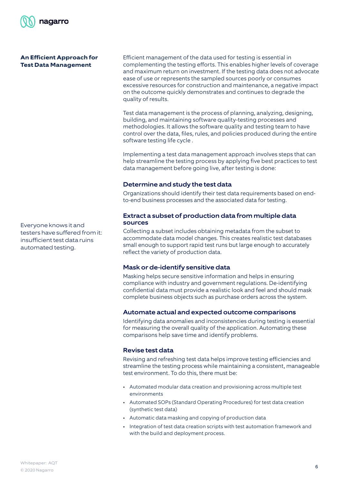

## **An Efficient Approach for Test Data Management**

Efficient management of the data used for testing is essential in complementing the testing efforts. This enables higher levels of coverage and maximum return on investment. If the testing data does not advocate ease of use or represents the sampled sources poorly or consumes excessive resources for construction and maintenance, a negative impact on the outcome quickly demonstrates and continues to degrade the quality of results.

Test data management is the process of planning, analyzing, designing, building, and maintaining software quality-testing processes and methodologies. It allows the software quality and testing team to have control over the data, files, rules, and policies produced during the entire software testing life cycle .

Implementing a test data management approach involves steps that can help streamline the testing process by applying five best practices to test data management before going live, after testing is done:

# Determine and study the test data

Organizations should identify their test data requirements based on endto-end business processes and the associated data for testing.

# Extract a subset of production data from multiple data sources

reflect the variety of production data. Collecting a subset includes obtaining metadata from the subset to accommodate data model changes. This creates realistic test databases small enough to support rapid test runs but large enough to accurately

# Mask or de-identify sensitive data

Masking helps secure sensitive information and helps in ensuring compliance with industry and government regulations. De-identifying confidential data must provide a realistic look and feel and should mask complete business objects such as purchase orders across the system.

# Automate actual and expected outcome comparisons

Identifying data anomalies and inconsistencies during testing is essential for measuring the overall quality of the application. Automating these comparisons help save time and identify problems.

# Revise test data

Revising and refreshing test data helps improve testing efficiencies and streamline the testing process while maintaining a consistent, manageable test environment. To do this, there must be:

- Automated modular data creation and provisioning across multiple test environments
- Automated SOPs (Standard Operating Procedures) for test data creation (synthetic test data)
- Automatic data masking and copying of production data
- Integration of test data creation scripts with test automation framework and with the build and deployment process.

Everyone knows it and testers have suffered from it: insufficient test data ruins automated testing.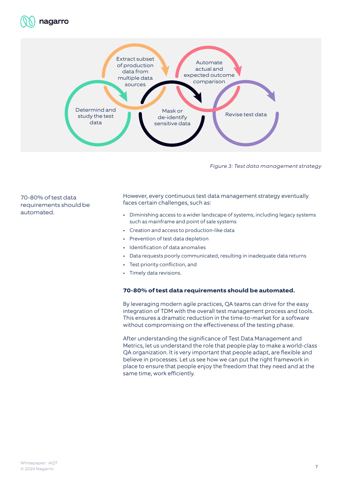



Figure 3: Test data management strategy

70-80% of test data requirements should be automated.

However, every continuous test data management strategy eventually faces certain challenges, such as:

- Diminishing access to a wider landscape of systems, including legacy systems such as mainframe and point of sale systems
- Creation and access to production-like data
- Prevention of test data depletion
- Identification of data anomalies
- Data requests poorly communicated, resulting in inadequate data returns
- Test priority confliction, and
- Timely data revisions.

#### **70-80% of test data requirements should be automated.**

By leveraging modern agile practices, QA teams can drive for the easy integration of TDM with the overall test management process and tools. This ensures a dramatic reduction in the time-to-market for a software without compromising on the effectiveness of the testing phase.

After understanding the significance of Test Data Management and Metrics, let us understand the role that people play to make a world-class QA organization. It is very important that people adapt, are flexible and believe in processes. Let us see how we can put the right framework in place to ensure that people enjoy the freedom that they need and at the same time, work efficiently.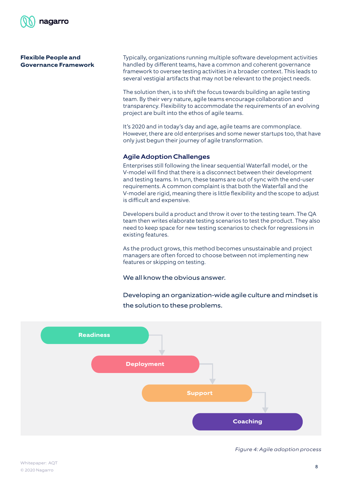

# **Flexible People and Governance Framework**

Typically, organizations running multiple software development activities handled by different teams, have a common and coherent governance framework to oversee testing activities in a broader context. This leads to several vestigial artifacts that may not be relevant to the project needs.

The solution then, is to shift the focus towards building an agile testing team. By their very nature, agile teams encourage collaboration and transparency. Flexibility to accommodate the requirements of an evolving project are built into the ethos of agile teams.

It's 2020 and in today's day and age, agile teams are commonplace. However, there are old enterprises and some newer startups too, that have only just begun their journey of agile transformation.

# Agile Adoption Challenges

Enterprises still following the linear sequential Waterfall model, or the V-model will find that there is a disconnect between their development and testing teams. In turn, these teams are out of sync with the end-user requirements. A common complaint is that both the Waterfall and the V-model are rigid, meaning there is little flexibility and the scope to adjust is difficult and expensive.

Developers build a product and throw it over to the testing team. The QA team then writes elaborate testing scenarios to test the product. They also need to keep space for new testing scenarios to check for regressions in existing features.

managers are often forced to choose between not implementing new As the product grows, this method becomes unsustainable and project features or skipping on testing.

We all know the obvious answer.

Developing an organization-wide agile culture and mindset is the solution to these problems.



Figure 4: Agile adoption process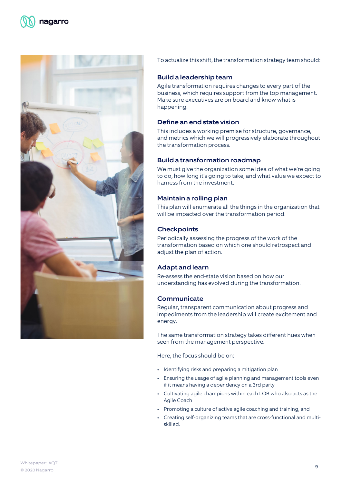

To actualize this shift, the transformation strategy team should:

# Build a leadership team

Agile transformation requires changes to every part of the business, which requires support from the top management. Make sure executives are on board and know what is happening.

# Define an end state vision

This includes a working premise for structure, governance, and metrics which we will progressively elaborate throughout the transformation process.

# Build a transformation roadmap

We must give the organization some idea of what we're going to do, how long it's going to take, and what value we expect to harness from the investment.

# Maintain a rolling plan

This plan will enumerate all the things in the organization that will be impacted over the transformation period.

# **Checkpoints**

Periodically assessing the progress of the work of the transformation based on which one should retrospect and adiust the plan of action.

# Adapt and learn

Re-assess the end-state vision based on how our understanding has evolved during the transformation.

# **Communicate**

Regular, transparent communication about progress and impediments from the leadership will create excitement and energy.

The same transformation strategy takes different hues when seen from the management perspective.

Here, the focus should be on:

- Identifying risks and preparing a mitigation plan
- Ensuring the usage of agile planning and management tools even if it means having a dependency on a 3rd party
- Cultivating agile champions within each LOB who also acts as the Agile Coach
- Promoting a culture of active agile coaching and training, and
- Creating self-organizing teams that are cross-functional and multiskilled.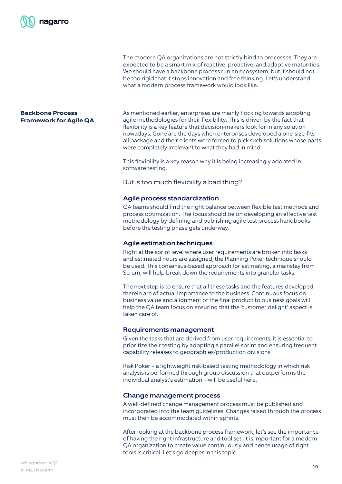

The modern QA organizations are not strictly bind to processes. They are expected to be a smart mix of reactive, proactive, and adaptive maturities. We should have a backbone process run an ecosystem, but it should not be too rigid that it stops innovation and free thinking. Let's understand what a modern process framework would look like.

# **Backbone Process Framework for Agile QA**

As mentioned earlier, enterprises are mainly flocking towards adopting agile methodologies for their flexibility. This is driven by the fact that flexibility is a key feature that decision-makers look for in any solution nowadays. Gone are the days when enterprises developed a one-size-fitsall package and their clients were forced to pick such solutions whose parts were completely irrelevant to what they had in mind.

This flexibility is a key reason why it is being increasingly adopted in software testing.

But is too much flexibility a bad thing?

# Agile process standardization

QA teams should find the right balance between flexible test methods and process optimization. The focus should be on developing an effective test methodology by defining and publishing agile test process handbooks before the testing phase gets underway.

# Agile estimation techniques

Right at the sprint level where user requirements are broken into tasks and estimated hours are assigned, the Planning Poker technique should be used. This consensus-based approach for estimating, a mainstay from Scrum, will help break down the requirements into granular tasks.

> The next step is to ensure that all these tasks and the features developed therein are of actual importance to the business. Continuous focus on business value and alignment of the final product to business goals will help the QA team focus on ensuring that the 'customer delight' aspect is taken care of.

#### Requirements management

Given the tasks that are derived from user requirements, it is essential to prioritize their testing by adopting a parallel sprint and ensuring frequent capability releases to geographies/production divisions.

Risk Poker – a lightweight risk-based testing methodology in which risk analysis is performed through group discussion that outperforms the individual analyst's estimation – will be useful here.

# Change management process

A well-defined change management process must be published and incorporated into the team guidelines. Changes raised through the process must then be accommodated within sprints.

After looking at the backbone process framework, let's see the importance of having the right infrastructure and tool set. It is important for a modern QA organization to create value continuously and hence usage of right tools is critical. Let's go deeper in this topic.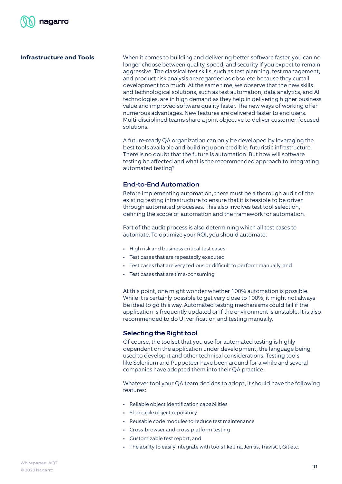

# **Infrastructure and Tools**

When it comes to building and delivering better software faster, you can no longer choose between quality, speed, and security if you expect to remain aggressive. The classical test skills, such as test planning, test management, and product risk analysis are regarded as obsolete because they curtail development too much. At the same time, we observe that the new skills and technological solutions, such as test automation, data analytics, and AI technologies, are in high demand as they help in delivering higher business value and improved software quality faster. The new ways of working offer numerous advantages. New features are delivered faster to end users. Multi-disciplined teams share a joint objective to deliver customer-focused solutions.

A future-ready QA organization can only be developed by leveraging the best tools available and building upon credible, futuristic infrastructure. There is no doubt that the future is automation. But how will software testing be affected and what is the recommended approach to integrating automated testing?

#### End-to-End Automation

Before implementing automation, there must be a thorough audit of the existing testing infrastructure to ensure that it is feasible to be driven through automated processes. This also involves test tool selection, defining the scope of automation and the framework for automation.

Part of the audit process is also determining which all test cases to automate. To optimize your ROI, you should automate:

- High risk and business critical test cases
- Test cases that are repeatedly executed
	- Test cases that are very tedious or difficult to perform manually, and
	- Test cases that are time-consuming

At this point, one might wonder whether 100% automation is possible. While it is certainly possible to get very close to 100%, it might not always be ideal to go this way. Automated testing mechanisms could fail if the application is frequently updated or if the environment is unstable. It is also recommended to do UI verification and testing manually.

# Selecting the Right tool

Of course, the toolset that you use for automated testing is highly dependent on the application under development, the language being used to develop it and other technical considerations. Testing tools like Selenium and Puppeteer have been around for a while and several companies have adopted them into their QA practice.

Whatever tool your QA team decides to adopt, it should have the following features:

- Reliable object identification capabilities
- Shareable object repository
- Reusable code modules to reduce test maintenance
- Cross-browser and cross-platform testing
- Customizable test report, and
- The ability to easily integrate with tools like Jira, Jenkis, TravisCI, Git etc.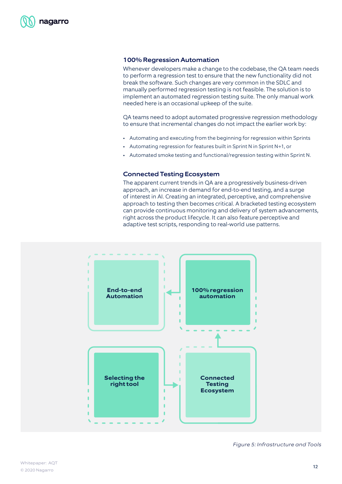### 100% Regression Automation

Whenever developers make a change to the codebase, the QA team needs to perform a regression test to ensure that the new functionality did not break the software. Such changes are very common in the SDLC and manually performed regression testing is not feasible. The solution is to implement an automated regression testing suite. The only manual work needed here is an occasional upkeep of the suite.

QA teams need to adopt automated progressive regression methodology to ensure that incremental changes do not impact the earlier work by:

- Automating and executing from the beginning for regression within Sprints
- Automating regression for features built in Sprint N in Sprint N+1, or
- Automated smoke testing and functional/regression testing within Sprint N.

#### Connected Testing Ecosystem

The apparent current trends in QA are a progressively business-driven approach, an increase in demand for end-to-end testing, and a surge of interest in AI. Creating an integrated, perceptive, and comprehensive approach to testing then becomes critical. A bracketed testing ecosystem can provide continuous monitoring and delivery of system advancements, right across the product lifecycle. It can also feature perceptive and adaptive test scripts, responding to real-world use patterns.



Figure 5: Infrastructure and Tools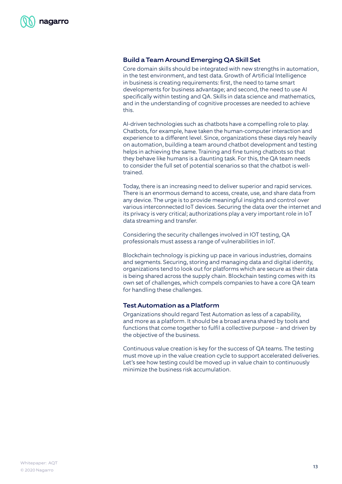# Build a Team Around Emerging QA Skill Set

Core domain skills should be integrated with new strengths in automation, in the test environment, and test data. Growth of Artificial Intelligence in business is creating requirements: first, the need to tame smart developments for business advantage; and second, the need to use AI specifically within testing and QA. Skills in data science and mathematics, and in the understanding of cognitive processes are needed to achieve this.

AI-driven technologies such as chatbots have a compelling role to play. Chatbots, for example, have taken the human-computer interaction and experience to a different level. Since, organizations these days rely heavily on automation, building a team around chatbot development and testing helps in achieving the same. Training and fine tuning chatbots so that they behave like humans is a daunting task. For this, the QA team needs to consider the full set of potential scenarios so that the chatbot is welltrained.

Today, there is an increasing need to deliver superior and rapid services. There is an enormous demand to access, create, use, and share data from any device. The urge is to provide meaningful insights and control over various interconnected IoT devices. Securing the data over the internet and its privacy is very critical; authorizations play a very important role in IoT data streaming and transfer.

Considering the security challenges involved in IOT testing, QA professionals must assess a range of vulnerabilities in IoT.

Blockchain technology is picking up pace in various industries, domains and segments. Securing, storing and managing data and digital identity, organizations tend to look out for platforms which are secure as their data is being shared across the supply chain. Blockchain testing comes with its own set of challenges, which compels companies to have a core QA team for handling these challenges.

# Test Automation as a Platform

Organizations should regard Test Automation as less of a capability, and more as a platform. It should be a broad arena shared by tools and functions that come together to fulfil a collective purpose – and driven by the objective of the business.

Continuous value creation is key for the success of QA teams. The testing must move up in the value creation cycle to support accelerated deliveries. Let's see how testing could be moved up in value chain to continuously minimize the business risk accumulation.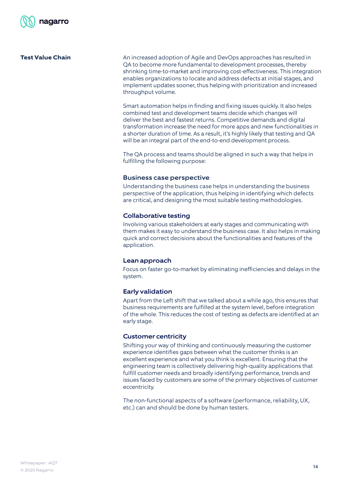# **Test Value Chain**

An increased adoption of Agile and DevOps approaches has resulted in QA to become more fundamental to development processes, thereby shrinking time-to-market and improving cost-effectiveness. This integration enables organizations to locate and address defects at initial stages, and implement updates sooner, thus helping with prioritization and increased throughput volume.

Smart automation helps in finding and fixing issues quickly. It also helps combined test and development teams decide which changes will deliver the best and fastest returns. Competitive demands and digital transformation increase the need for more apps and new functionalities in a shorter duration of time. As a result, it's highly likely that testing and QA will be an integral part of the end-to-end development process.

The QA process and teams should be aligned in such a way that helps in fulfilling the following purpose:

#### Business case perspective

Understanding the business case helps in understanding the business perspective of the application, thus helping in identifying which defects are critical, and designing the most suitable testing methodologies.

# Collaborative testing

Involving various stakeholders at early stages and communicating with them makes it easy to understand the business case. It also helps in making quick and correct decisions about the functionalities and features of the application.

# Lean approach

Focus on faster go-to-market by eliminating inefficiencies and delays in the system.

# Early validation

Apart from the Left shift that we talked about a while ago, this ensures that business requirements are fulfilled at the system level, before integration of the whole. This reduces the cost of testing as defects are identified at an early stage.

# Customer centricity

Shifting your way of thinking and continuously measuring the customer experience identifies gaps between what the customer thinks is an excellent experience and what you think is excellent. Ensuring that the engineering team is collectively delivering high-quality applications that fulfill customer needs and broadly identifying performance, trends and issues faced by customers are some of the primary objectives of customer eccentricity.

The non-functional aspects of a software (performance, reliability, UX, etc.) can and should be done by human testers.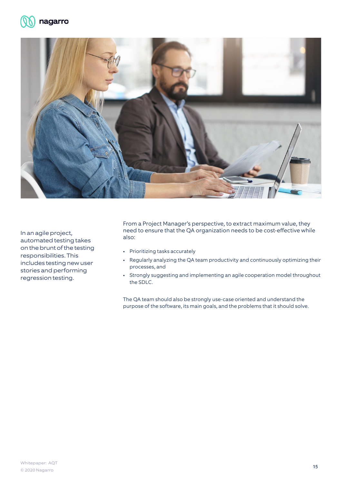



responsibilities. This **Exercise Section** 1 **Contract Products** In an agile project, automated testing takes on the brunt of the testing includes testing new user stories and performing regression testing.

From a Project Manager's perspective, to extract maximum value, they need to ensure that the QA organization needs to be cost-effective while also:

- Prioritizing tasks accurately
- Regularly analyzing the QA team productivity and continuously optimizing their processes, and
- Strongly suggesting and implementing an agile cooperation model throughout the SDLC.

The QA team should also be strongly use-case oriented and understand the purpose of the software, its main goals, and the problems that it should solve.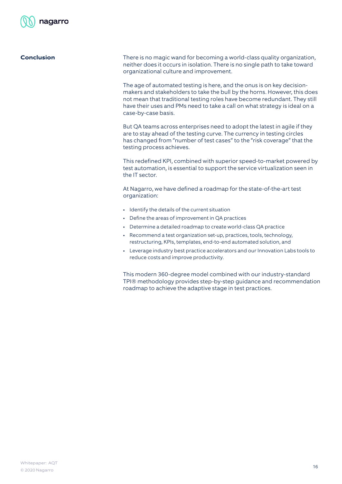

**Conclusion** There is no magic wand for becoming a world-class quality organization, neither does it occurs in isolation. There is no single path to take toward organizational culture and improvement.

> The age of automated testing is here, and the onus is on key decisionmakers and stakeholders to take the bull by the horns. However, this does not mean that traditional testing roles have become redundant. They still have their uses and PMs need to take a call on what strategy is ideal on a case-by-case basis.

But QA teams across enterprises need to adopt the latest in agile if they are to stay ahead of the testing curve. The currency in testing circles has changed from "number of test cases" to the "risk coverage" that the testing process achieves.

This redefined KPI, combined with superior speed-to-market powered by test automation, is essential to support the service virtualization seen in the IT sector.

At Nagarro, we have defined a roadmap for the state-of-the-art test organization:

- Identify the details of the current situation
- Define the areas of improvement in QA practices
- Determine a detailed roadmap to create world-class QA practice
- Recommend a test organization set-up, practices, tools, technology, restructuring, KPIs, templates, end-to-end automated solution, and
- Leverage industry best practice accelerators and our Innovation Labs tools to reduce costs and improve productivity.

This modern 360-degree model combined with our industry-standard TPI® methodology provides step-by-step guidance and recommendation roadmap to achieve the adaptive stage in test practices.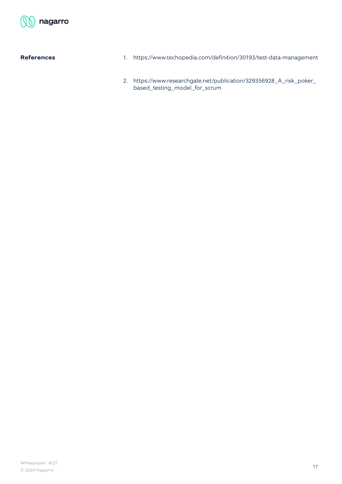

# **References**

- 1. https://www.techopedia.com/definition/30193/test-data-management
- 2. https://www.researchgate.net/publication/329356928\_A\_risk\_poker\_ based\_testing\_model\_for\_scrum